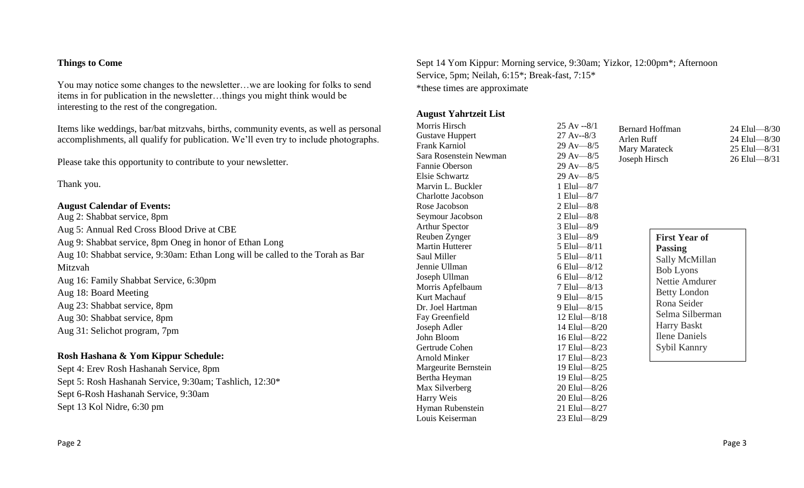#### Page 2 Page 2 Page 3

## **Things to Come**

You may notice some changes to the newsletter…we are looking for folks to send items in for publication in the newsletter…things you might think would be interesting to the rest of the congregation.

Items like weddings, bar/bat mitzvahs, births, community events, as well as personal accomplishments, all qualify for publication. We'll even try to include photographs.

Please take this opportunity to contribute to your newsletter.

Thank you.

#### **August Calendar of Events:**

Aug 2: Shabbat service, 8pm Aug 5: Annual Red Cross Blood Drive at CBE Aug 9: Shabbat service, 8pm Oneg in honor of Ethan Long Aug 10: Shabbat service, 9:30am: Ethan Long will be called to the Torah as Bar Mitzvah Aug 16: Family Shabbat Service, 6:30pm Aug 18: Board Meeting Aug 23: Shabbat service, 8pm Aug 30: Shabbat service, 8pm Aug 31: Selichot program, 7pm

### **Rosh Hashana & Yom Kippur Schedule:**

Sept 4: Erev Rosh Hashanah Service, 8pm Sept 5: Rosh Hashanah Service, 9:30am; Tashlich, 12:30\* Sept 6-Rosh Hashanah Service, 9:30am Sept 13 Kol Nidre, 6:30 pm

Sept 14 Yom Kippur: Morning service, 9:30am; Yizkor, 12:00pm\*; Afternoon Service, 5pm; Neilah, 6:15\*; Break-fast, 7:15\* \*these times are approximate

### **August Yahrtzeit List**

Morris Hirsch 25 Av --8/1 Gustave Huppert 27 Av--8/3 Frank Karniol 29 Av—8/5 Sara Rosenstein Newman 29 Av—8/5 Fannie Oberson 29 Av—8/5 Elsie Schwartz 29 Av—8/5 Marvin L. Buckler 1 Elul—8/7 Charlotte Jacobson 1 Elul—8/7 Rose Jacobson 2 Elul—8/8 Seymour Jacobson 2 Elul—8/8 Arthur Spector 3 Elul—8/9 Reuben Zynger 3 Elul—8/9 Martin Hutterer 5 Elul—8/11 Saul Miller 5 Elul—8/11 Jennie Ullman 6 Elul—8/12 Joseph Ullman 6 Elul—8/12 Morris Apfelbaum 7 Elul—8/13 Kurt Machauf 9 Elul—8/15 Dr. Joel Hartman 9 Elul—8/15 Fay Greenfield 12 Elul—8/18 Joseph Adler 14 Elul—8/20 John Bloom 16 Elul—8/22 Gertrude Cohen 17 Elul—8/23 Arnold Minker 17 Elul—8/23 Margeurite Bernstein 19 Elul—8/25 Bertha Heyman 19 Elul—8/25 Max Silverberg 20 Elul—8/26 Harry Weis 20 Elul—8/26 Hyman Rubenstein 21 Elul—8/27 Louis Keiserman 23 Elul—8/29

Bernard Hoffman 24 Elul—8/30 Arlen Ruff 24 Elul—8/30 Mary Marateck 25 Elul—8/31 Joseph Hirsch 26 Elul—8/31

| <b>First Year of</b>  |
|-----------------------|
| <b>Passing</b>        |
| Sally McMillan        |
| <b>Bob Lyons</b>      |
| <b>Nettie Amdurer</b> |
| <b>Betty London</b>   |
| Rona Seider           |
| Selma Silberman       |
| <b>Harry Baskt</b>    |
| <b>Ilene Daniels</b>  |
| Sybil Kannry          |
|                       |